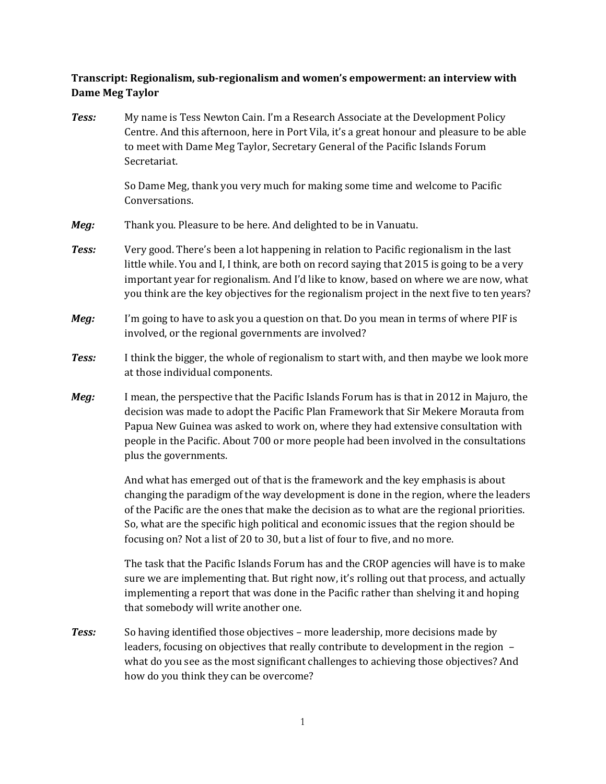## **Transcript: Regionalism, sub-regionalism and women's empowerment: an interview with Dame Meg Taylor**

*Tess:* My name is Tess Newton Cain. I'm a Research Associate at the Development Policy Centre. And this afternoon, here in Port Vila, it's a great honour and pleasure to be able to meet with Dame Meg Taylor, Secretary General of the Pacific Islands Forum Secretariat.

> So Dame Meg, thank you very much for making some time and welcome to Pacific Conversations.

- *Meg:* Thank you. Pleasure to be here. And delighted to be in Vanuatu.
- *Tess:* Very good. There's been a lot happening in relation to Pacific regionalism in the last little while. You and I, I think, are both on record saying that 2015 is going to be a very important year for regionalism. And I'd like to know, based on where we are now, what you think are the key objectives for the regionalism project in the next five to ten years?
- *Meg:* I'm going to have to ask you a question on that. Do you mean in terms of where PIF is involved, or the regional governments are involved?
- **Tess:** I think the bigger, the whole of regionalism to start with, and then maybe we look more at those individual components.
- *Meg:* I mean, the perspective that the Pacific Islands Forum has is that in 2012 in Majuro, the decision was made to adopt the Pacific Plan Framework that Sir Mekere Morauta from Papua New Guinea was asked to work on, where they had extensive consultation with people in the Pacific. About 700 or more people had been involved in the consultations plus the governments.

And what has emerged out of that is the framework and the key emphasis is about changing the paradigm of the way development is done in the region, where the leaders of the Pacific are the ones that make the decision as to what are the regional priorities. So, what are the specific high political and economic issues that the region should be focusing on? Not a list of 20 to 30, but a list of four to five, and no more.

The task that the Pacific Islands Forum has and the CROP agencies will have is to make sure we are implementing that. But right now, it's rolling out that process, and actually implementing a report that was done in the Pacific rather than shelving it and hoping that somebody will write another one.

**Tess:** So having identified those objectives – more leadership, more decisions made by leaders, focusing on objectives that really contribute to development in the region – what do you see as the most significant challenges to achieving those objectives? And how do you think they can be overcome?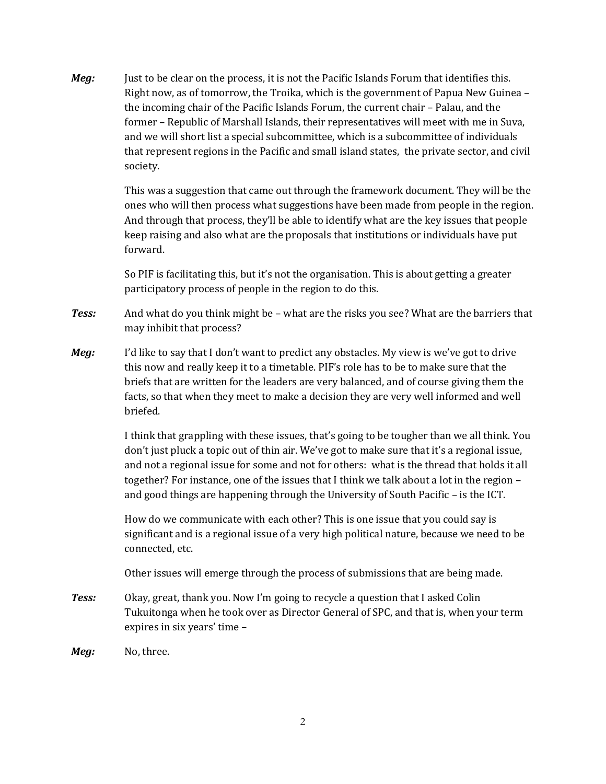*Meg:* Just to be clear on the process, it is not the Pacific Islands Forum that identifies this. Right now, as of tomorrow, the Troika, which is the government of Papua New Guinea – the incoming chair of the Pacific Islands Forum, the current chair – Palau, and the former – Republic of Marshall Islands, their representatives will meet with me in Suva, and we will short list a special subcommittee, which is a subcommittee of individuals that represent regions in the Pacific and small island states, the private sector, and civil society.

> This was a suggestion that came out through the framework document. They will be the ones who will then process what suggestions have been made from people in the region. And through that process, they'll be able to identify what are the key issues that people keep raising and also what are the proposals that institutions or individuals have put forward.

So PIF is facilitating this, but it's not the organisation. This is about getting a greater participatory process of people in the region to do this.

- *Tess:* And what do you think might be what are the risks you see? What are the barriers that may inhibit that process?
- *Meg:* I'd like to say that I don't want to predict any obstacles. My view is we've got to drive this now and really keep it to a timetable. PIF's role has to be to make sure that the briefs that are written for the leaders are very balanced, and of course giving them the facts, so that when they meet to make a decision they are very well informed and well briefed.

I think that grappling with these issues, that's going to be tougher than we all think. You don't just pluck a topic out of thin air. We've got to make sure that it's a regional issue, and not a regional issue for some and not for others: what is the thread that holds it all together? For instance, one of the issues that I think we talk about a lot in the region – and good things are happening through the University of South Pacific – is the ICT.

How do we communicate with each other? This is one issue that you could say is significant and is a regional issue of a very high political nature, because we need to be connected, etc.

Other issues will emerge through the process of submissions that are being made.

- *Tess:* Okay, great, thank you. Now I'm going to recycle a question that I asked Colin Tukuitonga when he took over as Director General of SPC, and that is, when your term expires in six years' time –
- *Meg:* No, three.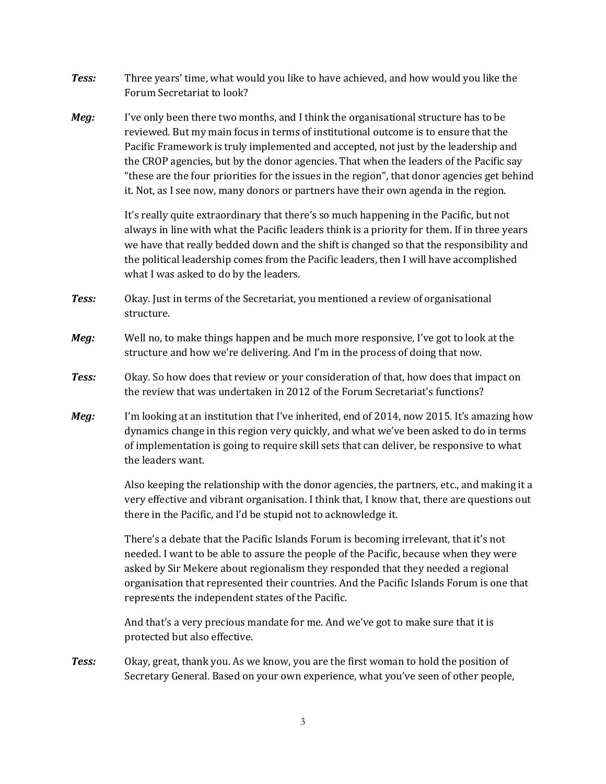- *Tess:* Three years' time, what would you like to have achieved, and how would you like the Forum Secretariat to look?
- *Meg:* I've only been there two months, and I think the organisational structure has to be reviewed. But my main focus in terms of institutional outcome is to ensure that the Pacific Framework is truly implemented and accepted, not just by the leadership and the CROP agencies, but by the donor agencies. That when the leaders of the Pacific say "these are the four priorities for the issues in the region", that donor agencies get behind it. Not, as I see now, many donors or partners have their own agenda in the region.

It's really quite extraordinary that there's so much happening in the Pacific, but not always in line with what the Pacific leaders think is a priority for them. If in three years we have that really bedded down and the shift is changed so that the responsibility and the political leadership comes from the Pacific leaders, then I will have accomplished what I was asked to do by the leaders.

- *Tess:* Okay. Just in terms of the Secretariat, you mentioned a review of organisational structure.
- *Meg:* Well no, to make things happen and be much more responsive, I've got to look at the structure and how we're delivering. And I'm in the process of doing that now.
- *Tess:* Okay. So how does that review or your consideration of that, how does that impact on the review that was undertaken in 2012 of the Forum Secretariat's functions?
- *Meg:* I'm looking at an institution that I've inherited, end of 2014, now 2015. It's amazing how dynamics change in this region very quickly, and what we've been asked to do in terms of implementation is going to require skill sets that can deliver, be responsive to what the leaders want.

Also keeping the relationship with the donor agencies, the partners, etc., and making it a very effective and vibrant organisation. I think that, I know that, there are questions out there in the Pacific, and I'd be stupid not to acknowledge it.

There's a debate that the Pacific Islands Forum is becoming irrelevant, that it's not needed. I want to be able to assure the people of the Pacific, because when they were asked by Sir Mekere about regionalism they responded that they needed a regional organisation that represented their countries. And the Pacific Islands Forum is one that represents the independent states of the Pacific.

And that's a very precious mandate for me. And we've got to make sure that it is protected but also effective.

*Tess:* Okay, great, thank you. As we know, you are the first woman to hold the position of Secretary General. Based on your own experience, what you've seen of other people,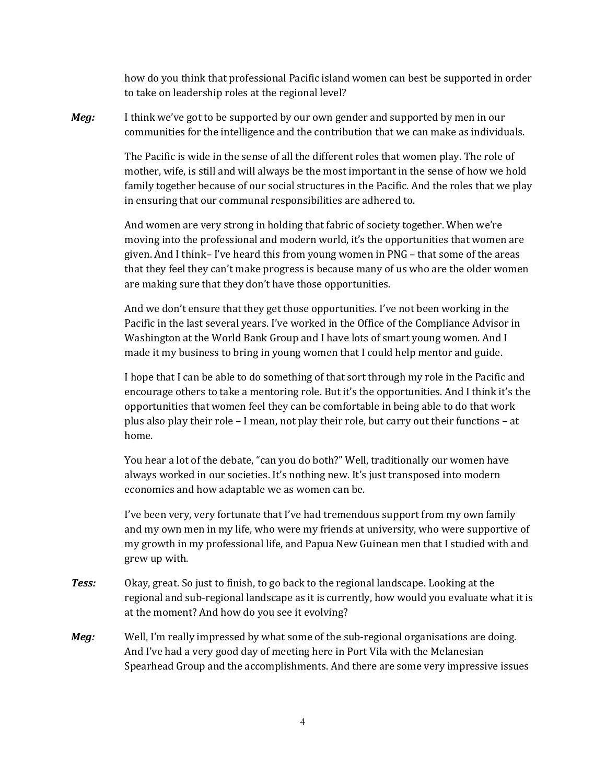how do you think that professional Pacific island women can best be supported in order to take on leadership roles at the regional level?

*Meg:* I think we've got to be supported by our own gender and supported by men in our communities for the intelligence and the contribution that we can make as individuals.

> The Pacific is wide in the sense of all the different roles that women play. The role of mother, wife, is still and will always be the most important in the sense of how we hold family together because of our social structures in the Pacific. And the roles that we play in ensuring that our communal responsibilities are adhered to.

> And women are very strong in holding that fabric of society together. When we're moving into the professional and modern world, it's the opportunities that women are given. And I think– I've heard this from young women in PNG – that some of the areas that they feel they can't make progress is because many of us who are the older women are making sure that they don't have those opportunities.

And we don't ensure that they get those opportunities. I've not been working in the Pacific in the last several years. I've worked in the Office of the Compliance Advisor in Washington at the World Bank Group and I have lots of smart young women. And I made it my business to bring in young women that I could help mentor and guide.

I hope that I can be able to do something of that sort through my role in the Pacific and encourage others to take a mentoring role. But it's the opportunities. And I think it's the opportunities that women feel they can be comfortable in being able to do that work plus also play their role – I mean, not play their role, but carry out their functions – at home.

You hear a lot of the debate, "can you do both?" Well, traditionally our women have always worked in our societies. It's nothing new. It's just transposed into modern economies and how adaptable we as women can be.

I've been very, very fortunate that I've had tremendous support from my own family and my own men in my life, who were my friends at university, who were supportive of my growth in my professional life, and Papua New Guinean men that I studied with and grew up with.

- *Tess:* Okay, great. So just to finish, to go back to the regional landscape. Looking at the regional and sub-regional landscape as it is currently, how would you evaluate what it is at the moment? And how do you see it evolving?
- *Meg:* Well, I'm really impressed by what some of the sub-regional organisations are doing. And I've had a very good day of meeting here in Port Vila with the Melanesian Spearhead Group and the accomplishments. And there are some very impressive issues